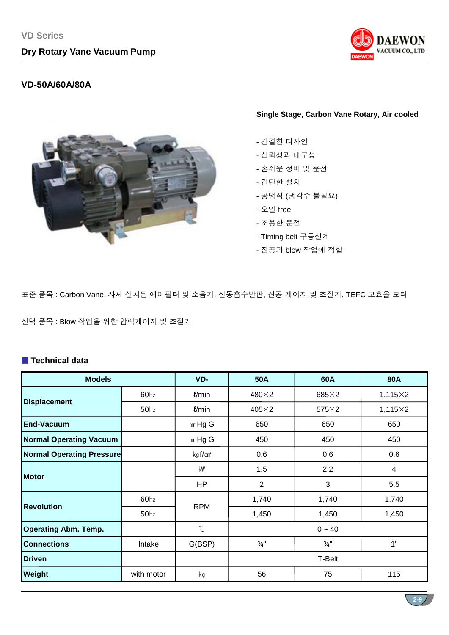

## **VD-50A/60A/80A**



#### **Single Stage, Carbon Vane Rotary, Air cooled**

- 간결한 디자인
- 신뢰성과 내구성
- 손쉬운 정비 및 운전
- 간단한 설치
- 공냉식 (냉각수 불필요)
- 오일 free
- 조용한 운전
- Timing belt 구동설계
- 진공과 blow 작업에 적합

표준 품목 : Carbon Vane, 자체 설치된 에어필터 및 소음기, 진동흡수발판, 진공 게이지 및 조절기, TEFC 고효율 모터

선택 품목 : Blow 작업을 위한 압력게이지 및 조절기

## ■ **Technical data**

| <b>Models</b>                    |            | VD-                 | 50A             | 60A             | <b>80A</b>     |  |  |  |
|----------------------------------|------------|---------------------|-----------------|-----------------|----------------|--|--|--|
|                                  | $60$ Hz    | l/min               | 480×2           | 685×2           | $1,115\times2$ |  |  |  |
| <b>Displacement</b>              | $50$ Hz    | l/min               | $405\times2$    | $575\times2$    | $1,115\times2$ |  |  |  |
| <b>End-Vacuum</b>                |            | $mmHg$ G            | 650             | 650             | 650            |  |  |  |
| <b>Normal Operating Vacuum</b>   |            | $mmHg$ G            | 450             | 450             | 450            |  |  |  |
| <b>Normal Operating Pressure</b> |            | kgf/cm <sup>2</sup> | 0.6             | 0.6             | 0.6            |  |  |  |
| <b>Motor</b>                     |            | kW                  | 1.5             | 2.2             | 4              |  |  |  |
|                                  |            | HP                  | $\overline{2}$  | 3               | 5.5            |  |  |  |
| <b>Revolution</b>                | $60$ Hz    | <b>RPM</b>          | 1,740           | 1,740           | 1,740          |  |  |  |
|                                  | $50$ Hz    |                     | 1,450           | 1,450           | 1,450          |  |  |  |
| <b>Operating Abm. Temp.</b>      |            | $\mathrm{C}$        |                 | $0 - 40$        |                |  |  |  |
| <b>Connections</b>               | Intake     | G(BSP)              | $\frac{3}{4}$ " | $\frac{3}{4}$ " | 1"             |  |  |  |
| <b>Driven</b>                    |            |                     | T-Belt          |                 |                |  |  |  |
| Weight                           | with motor | kg                  | 56              | 75              | 115            |  |  |  |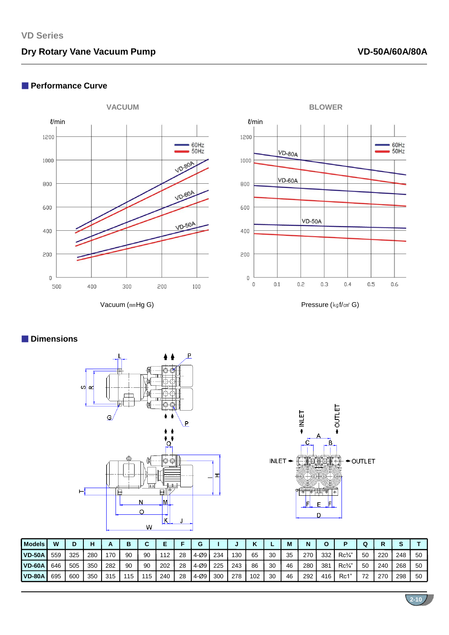# **Dry Rotary Vane Vacuum Pump**

### ■ **Performance Curve**



Vacuum (㎜Hg G) Pressure (kgf/cm<sup>2</sup> G)



## ■ **Dimensions**





**2-10**

| <b>Models</b> | W   | D   | н   |     | в  |     |     |    |         |     |     |     |    | M  | N   |     |                 |    |     |     |    |
|---------------|-----|-----|-----|-----|----|-----|-----|----|---------|-----|-----|-----|----|----|-----|-----|-----------------|----|-----|-----|----|
| <b>VD-50A</b> | 559 | 325 | 280 | 170 | 90 | 90  | 112 | 28 | $4-009$ | 234 | 130 | 65  | 30 | 35 | 270 | 332 | $Rc\frac{3}{4}$ | 50 | 220 | 248 | 50 |
| <b>VD-60A</b> | 646 | 505 | 350 | 282 | 90 | 90  | 202 | 28 | $4-009$ | 225 | 243 | 86  | 30 | 46 | 280 | 381 | $Rc\frac{3}{4}$ | 50 | 240 | 268 | 50 |
| <b>VD-80A</b> | 695 | 600 | 350 | 315 | 15 | 115 | 240 | 28 | 4-Ø9 I  | 300 | 278 | 102 | 30 | 46 | 292 | 416 | Rc1"            | 72 | 270 | 298 | 50 |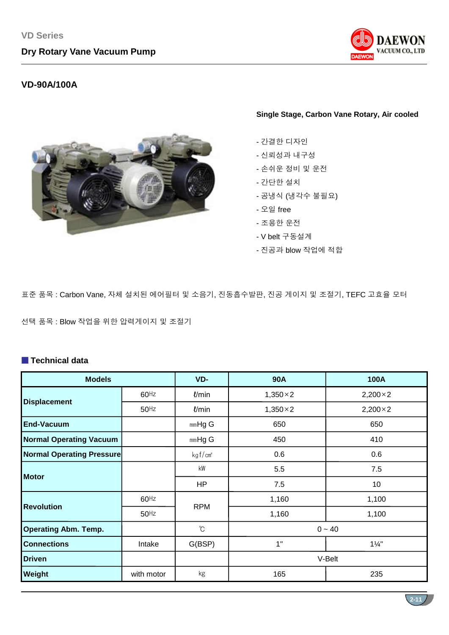

## **VD-90A/100A**

#### **Single Stage, Carbon Vane Rotary, Air cooled**

- 간결한 디자인
- 신뢰성과 내구성
- 손쉬운 정비 및 운전
- 간단한 설치
- 공냉식 (냉각수 불필요)
- 오일 free
- 조용한 운전
- V belt 구동설계
- 진공과 blow 작업에 적합

표준 품목 : Carbon Vane, 자체 설치된 에어필터 및 소음기, 진동흡수발판, 진공 게이지 및 조절기, TEFC 고효율 모터

선택 품목 : Blow 작업을 위한 압력게이지 및 조절기

## ■ **Technical data**

| <b>Models</b>                    |            | VD-                    | <b>90A</b>       | 100A             |  |  |  |
|----------------------------------|------------|------------------------|------------------|------------------|--|--|--|
|                                  | $60$ Hz    | $\ell$ /min            | $1,350 \times 2$ | $2,200 \times 2$ |  |  |  |
| <b>Displacement</b>              | $50$ Hz    | $\ell$ /min            | $1,350 \times 2$ | $2,200 \times 2$ |  |  |  |
| <b>End-Vacuum</b>                |            | $mmHg$ G               | 650              | 650              |  |  |  |
| <b>Normal Operating Vacuum</b>   |            | $mmHg$ G               | 450              | 410              |  |  |  |
| <b>Normal Operating Pressure</b> |            | kg f/cm <sup>2</sup>   | 0.6              | 0.6              |  |  |  |
| <b>Motor</b>                     |            | $\mathsf{k}\mathsf{W}$ | 5.5              | 7.5              |  |  |  |
|                                  |            | <b>HP</b>              | 7.5              | 10               |  |  |  |
| <b>Revolution</b>                | $60$ Hz    | <b>RPM</b>             | 1,160            | 1,100            |  |  |  |
|                                  | $50$ Hz    |                        | 1,160            | 1,100            |  |  |  |
| <b>Operating Abm. Temp.</b>      |            | $^\circ\!{\rm C}$      |                  | $0 - 40$         |  |  |  |
| <b>Connections</b>               | Intake     | G(BSP)                 | 1"               | $1\frac{1}{4}$   |  |  |  |
| <b>Driven</b>                    |            |                        | V-Belt           |                  |  |  |  |
| Weight                           | with motor | kg                     | 165              | 235              |  |  |  |

**2-11**